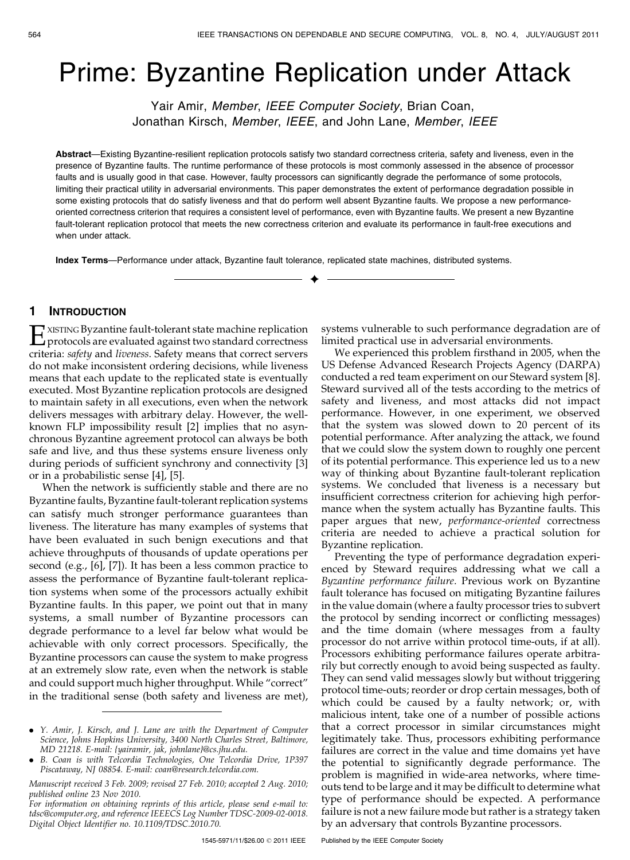# Prime: Byzantine Replication under Attack

Yair Amir, Member, IEEE Computer Society, Brian Coan, Jonathan Kirsch, Member, IEEE, and John Lane, Member, IEEE

Abstract—Existing Byzantine-resilient replication protocols satisfy two standard correctness criteria, safety and liveness, even in the presence of Byzantine faults. The runtime performance of these protocols is most commonly assessed in the absence of processor faults and is usually good in that case. However, faulty processors can significantly degrade the performance of some protocols, limiting their practical utility in adversarial environments. This paper demonstrates the extent of performance degradation possible in some existing protocols that do satisfy liveness and that do perform well absent Byzantine faults. We propose a new performanceoriented correctness criterion that requires a consistent level of performance, even with Byzantine faults. We present a new Byzantine fault-tolerant replication protocol that meets the new correctness criterion and evaluate its performance in fault-free executions and when under attack.

 $\ddotmark$ 

Index Terms—Performance under attack, Byzantine fault tolerance, replicated state machines, distributed systems.

# 1 INTRODUCTION

EXISTING Byzantine fault-tolerant state machine replication<br>protocols are evaluated against two standard correctness criteria: safety and liveness. Safety means that correct servers do not make inconsistent ordering decisions, while liveness means that each update to the replicated state is eventually executed. Most Byzantine replication protocols are designed to maintain safety in all executions, even when the network delivers messages with arbitrary delay. However, the wellknown FLP impossibility result [2] implies that no asynchronous Byzantine agreement protocol can always be both safe and live, and thus these systems ensure liveness only during periods of sufficient synchrony and connectivity [3] or in a probabilistic sense [4], [5].

When the network is sufficiently stable and there are no Byzantine faults, Byzantine fault-tolerant replication systems can satisfy much stronger performance guarantees than liveness. The literature has many examples of systems that have been evaluated in such benign executions and that achieve throughputs of thousands of update operations per second (e.g., [6], [7]). It has been a less common practice to assess the performance of Byzantine fault-tolerant replication systems when some of the processors actually exhibit Byzantine faults. In this paper, we point out that in many systems, a small number of Byzantine processors can degrade performance to a level far below what would be achievable with only correct processors. Specifically, the Byzantine processors can cause the system to make progress at an extremely slow rate, even when the network is stable and could support much higher throughput. While "correct" in the traditional sense (both safety and liveness are met),

systems vulnerable to such performance degradation are of limited practical use in adversarial environments.

We experienced this problem firsthand in 2005, when the US Defense Advanced Research Projects Agency (DARPA) conducted a red team experiment on our Steward system [8]. Steward survived all of the tests according to the metrics of safety and liveness, and most attacks did not impact performance. However, in one experiment, we observed that the system was slowed down to 20 percent of its potential performance. After analyzing the attack, we found that we could slow the system down to roughly one percent of its potential performance. This experience led us to a new way of thinking about Byzantine fault-tolerant replication systems. We concluded that liveness is a necessary but insufficient correctness criterion for achieving high performance when the system actually has Byzantine faults. This paper argues that new, performance-oriented correctness criteria are needed to achieve a practical solution for Byzantine replication.

Preventing the type of performance degradation experienced by Steward requires addressing what we call a Byzantine performance failure. Previous work on Byzantine fault tolerance has focused on mitigating Byzantine failures in the value domain (where a faulty processor tries to subvert the protocol by sending incorrect or conflicting messages) and the time domain (where messages from a faulty processor do not arrive within protocol time-outs, if at all). Processors exhibiting performance failures operate arbitrarily but correctly enough to avoid being suspected as faulty. They can send valid messages slowly but without triggering protocol time-outs; reorder or drop certain messages, both of which could be caused by a faulty network; or, with malicious intent, take one of a number of possible actions that a correct processor in similar circumstances might legitimately take. Thus, processors exhibiting performance failures are correct in the value and time domains yet have the potential to significantly degrade performance. The problem is magnified in wide-area networks, where timeouts tend to be large and it may be difficult to determine what type of performance should be expected. A performance failure is not a new failure mode but rather is a strategy taken by an adversary that controls Byzantine processors.

<sup>.</sup> Y. Amir, J. Kirsch, and J. Lane are with the Department of Computer Science, Johns Hopkins University, 3400 North Charles Street, Baltimore, MD 21218. E-mail: {yairamir, jak, johnlane}@cs.jhu.edu.

<sup>.</sup> B. Coan is with Telcordia Technologies, One Telcordia Drive, 1P397 Piscataway, NJ 08854. E-mail: coan@research.telcordia.com.

Manuscript received 3 Feb. 2009; revised 27 Feb. 2010; accepted 2 Aug. 2010; published online 23 Nov 2010.

For information on obtaining reprints of this article, please send e-mail to: tdsc@computer.org, and reference IEEECS Log Number TDSC-2009-02-0018. Digital Object Identifier no. 10.1109/TDSC.2010.70.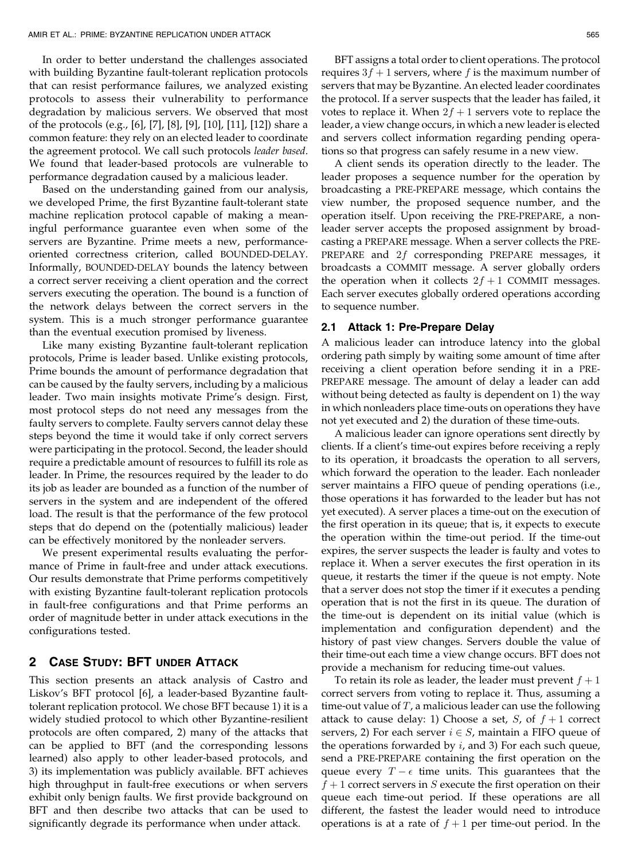In order to better understand the challenges associated with building Byzantine fault-tolerant replication protocols that can resist performance failures, we analyzed existing protocols to assess their vulnerability to performance degradation by malicious servers. We observed that most of the protocols (e.g., [6], [7], [8], [9], [10], [11], [12]) share a common feature: they rely on an elected leader to coordinate the agreement protocol. We call such protocols leader based. We found that leader-based protocols are vulnerable to performance degradation caused by a malicious leader.

Based on the understanding gained from our analysis, we developed Prime, the first Byzantine fault-tolerant state machine replication protocol capable of making a meaningful performance guarantee even when some of the servers are Byzantine. Prime meets a new, performanceoriented correctness criterion, called BOUNDED-DELAY. Informally, BOUNDED-DELAY bounds the latency between a correct server receiving a client operation and the correct servers executing the operation. The bound is a function of the network delays between the correct servers in the system. This is a much stronger performance guarantee than the eventual execution promised by liveness.

Like many existing Byzantine fault-tolerant replication protocols, Prime is leader based. Unlike existing protocols, Prime bounds the amount of performance degradation that can be caused by the faulty servers, including by a malicious leader. Two main insights motivate Prime's design. First, most protocol steps do not need any messages from the faulty servers to complete. Faulty servers cannot delay these steps beyond the time it would take if only correct servers were participating in the protocol. Second, the leader should require a predictable amount of resources to fulfill its role as leader. In Prime, the resources required by the leader to do its job as leader are bounded as a function of the number of servers in the system and are independent of the offered load. The result is that the performance of the few protocol steps that do depend on the (potentially malicious) leader can be effectively monitored by the nonleader servers.

We present experimental results evaluating the performance of Prime in fault-free and under attack executions. Our results demonstrate that Prime performs competitively with existing Byzantine fault-tolerant replication protocols in fault-free configurations and that Prime performs an order of magnitude better in under attack executions in the configurations tested.

# 2 CASE STUDY: BFT UNDER ATTACK

This section presents an attack analysis of Castro and Liskov's BFT protocol [6], a leader-based Byzantine faulttolerant replication protocol. We chose BFT because 1) it is a widely studied protocol to which other Byzantine-resilient protocols are often compared, 2) many of the attacks that can be applied to BFT (and the corresponding lessons learned) also apply to other leader-based protocols, and 3) its implementation was publicly available. BFT achieves high throughput in fault-free executions or when servers exhibit only benign faults. We first provide background on BFT and then describe two attacks that can be used to significantly degrade its performance when under attack.

BFT assigns a total order to client operations. The protocol requires  $3f + 1$  servers, where f is the maximum number of servers that may be Byzantine. An elected leader coordinates the protocol. If a server suspects that the leader has failed, it votes to replace it. When  $2f + 1$  servers vote to replace the leader, a view change occurs, in which a new leader is elected and servers collect information regarding pending operations so that progress can safely resume in a new view.

A client sends its operation directly to the leader. The leader proposes a sequence number for the operation by broadcasting a PRE-PREPARE message, which contains the view number, the proposed sequence number, and the operation itself. Upon receiving the PRE-PREPARE, a nonleader server accepts the proposed assignment by broadcasting a PREPARE message. When a server collects the PRE-PREPARE and 2f corresponding PREPARE messages, it broadcasts a COMMIT message. A server globally orders the operation when it collects  $2f + 1$  COMMIT messages. Each server executes globally ordered operations according to sequence number.

## 2.1 Attack 1: Pre-Prepare Delay

A malicious leader can introduce latency into the global ordering path simply by waiting some amount of time after receiving a client operation before sending it in a PRE-PREPARE message. The amount of delay a leader can add without being detected as faulty is dependent on 1) the way in which nonleaders place time-outs on operations they have not yet executed and 2) the duration of these time-outs.

A malicious leader can ignore operations sent directly by clients. If a client's time-out expires before receiving a reply to its operation, it broadcasts the operation to all servers, which forward the operation to the leader. Each nonleader server maintains a FIFO queue of pending operations (i.e., those operations it has forwarded to the leader but has not yet executed). A server places a time-out on the execution of the first operation in its queue; that is, it expects to execute the operation within the time-out period. If the time-out expires, the server suspects the leader is faulty and votes to replace it. When a server executes the first operation in its queue, it restarts the timer if the queue is not empty. Note that a server does not stop the timer if it executes a pending operation that is not the first in its queue. The duration of the time-out is dependent on its initial value (which is implementation and configuration dependent) and the history of past view changes. Servers double the value of their time-out each time a view change occurs. BFT does not provide a mechanism for reducing time-out values.

To retain its role as leader, the leader must prevent  $f + 1$ correct servers from voting to replace it. Thus, assuming a time-out value of  $T$ , a malicious leader can use the following attack to cause delay: 1) Choose a set, S, of  $f + 1$  correct servers, 2) For each server  $i \in S$ , maintain a FIFO queue of the operations forwarded by  $i$ , and 3) For each such queue, send a PRE-PREPARE containing the first operation on the queue every  $T-\epsilon$  time units. This guarantees that the  $f + 1$  correct servers in S execute the first operation on their queue each time-out period. If these operations are all different, the fastest the leader would need to introduce operations is at a rate of  $f + 1$  per time-out period. In the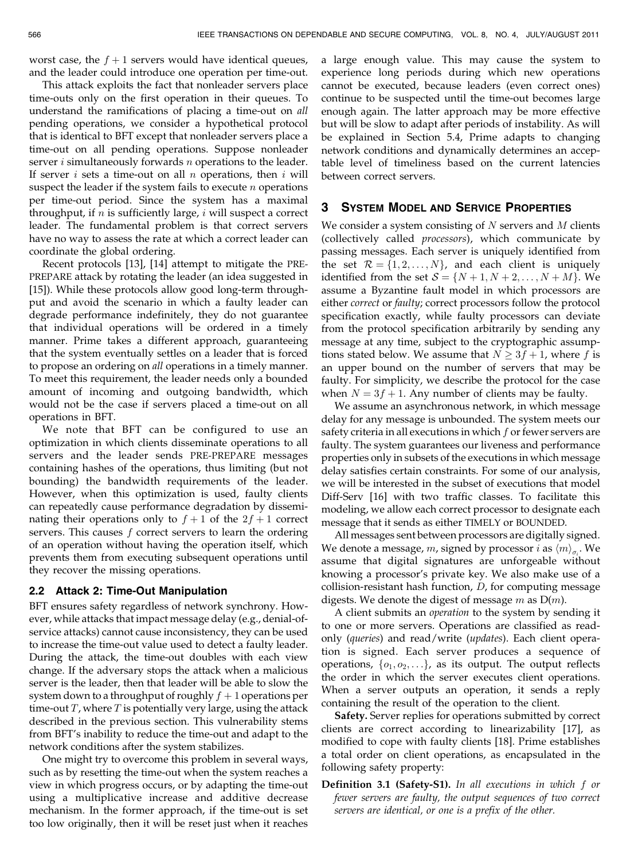worst case, the  $f + 1$  servers would have identical queues, and the leader could introduce one operation per time-out.

This attack exploits the fact that nonleader servers place time-outs only on the first operation in their queues. To understand the ramifications of placing a time-out on all pending operations, we consider a hypothetical protocol that is identical to BFT except that nonleader servers place a time-out on all pending operations. Suppose nonleader server  $i$  simultaneously forwards  $n$  operations to the leader. If server  $i$  sets a time-out on all  $n$  operations, then  $i$  will suspect the leader if the system fails to execute  $n$  operations per time-out period. Since the system has a maximal throughput, if  $n$  is sufficiently large,  $i$  will suspect a correct leader. The fundamental problem is that correct servers have no way to assess the rate at which a correct leader can coordinate the global ordering.

Recent protocols [13], [14] attempt to mitigate the PRE-PREPARE attack by rotating the leader (an idea suggested in [15]). While these protocols allow good long-term throughput and avoid the scenario in which a faulty leader can degrade performance indefinitely, they do not guarantee that individual operations will be ordered in a timely manner. Prime takes a different approach, guaranteeing that the system eventually settles on a leader that is forced to propose an ordering on all operations in a timely manner. To meet this requirement, the leader needs only a bounded amount of incoming and outgoing bandwidth, which would not be the case if servers placed a time-out on all operations in BFT.

We note that BFT can be configured to use an optimization in which clients disseminate operations to all servers and the leader sends PRE-PREPARE messages containing hashes of the operations, thus limiting (but not bounding) the bandwidth requirements of the leader. However, when this optimization is used, faulty clients can repeatedly cause performance degradation by disseminating their operations only to  $f + 1$  of the  $2f + 1$  correct servers. This causes  $f$  correct servers to learn the ordering of an operation without having the operation itself, which prevents them from executing subsequent operations until they recover the missing operations.

## 2.2 Attack 2: Time-Out Manipulation

BFT ensures safety regardless of network synchrony. However, while attacks that impact message delay (e.g., denial-ofservice attacks) cannot cause inconsistency, they can be used to increase the time-out value used to detect a faulty leader. During the attack, the time-out doubles with each view change. If the adversary stops the attack when a malicious server is the leader, then that leader will be able to slow the system down to a throughput of roughly  $f + 1$  operations per time-out  $T$ , where  $T$  is potentially very large, using the attack described in the previous section. This vulnerability stems from BFT's inability to reduce the time-out and adapt to the network conditions after the system stabilizes.

One might try to overcome this problem in several ways, such as by resetting the time-out when the system reaches a view in which progress occurs, or by adapting the time-out using a multiplicative increase and additive decrease mechanism. In the former approach, if the time-out is set too low originally, then it will be reset just when it reaches

a large enough value. This may cause the system to experience long periods during which new operations cannot be executed, because leaders (even correct ones) continue to be suspected until the time-out becomes large enough again. The latter approach may be more effective but will be slow to adapt after periods of instability. As will be explained in Section 5.4, Prime adapts to changing network conditions and dynamically determines an acceptable level of timeliness based on the current latencies between correct servers.

# 3 SYSTEM MODEL AND SERVICE PROPERTIES

We consider a system consisting of  $N$  servers and  $M$  clients (collectively called processors), which communicate by passing messages. Each server is uniquely identified from the set  $\mathcal{R} = \{1, 2, ..., N\}$ , and each client is uniquely identified from the set  $S = \{N+1, N+2, \ldots, N+M\}$ . We assume a Byzantine fault model in which processors are either correct or faulty; correct processors follow the protocol specification exactly, while faulty processors can deviate from the protocol specification arbitrarily by sending any message at any time, subject to the cryptographic assumptions stated below. We assume that  $N \geq 3f + 1$ , where f is an upper bound on the number of servers that may be faulty. For simplicity, we describe the protocol for the case when  $N = 3f + 1$ . Any number of clients may be faulty.

We assume an asynchronous network, in which message delay for any message is unbounded. The system meets our safety criteria in all executions in which  $f$  or fewer servers are faulty. The system guarantees our liveness and performance properties only in subsets of the executions in which message delay satisfies certain constraints. For some of our analysis, we will be interested in the subset of executions that model Diff-Serv [16] with two traffic classes. To facilitate this modeling, we allow each correct processor to designate each message that it sends as either TIMELY or BOUNDED.

All messages sent between processors are digitally signed. We denote a message,  $m$ , signed by processor  $i$  as  $\langle m\rangle_{\sigma_i}.$  We assume that digital signatures are unforgeable without knowing a processor's private key. We also make use of a collision-resistant hash function,  $D$ , for computing message digests. We denote the digest of message  $m$  as  $D(m)$ .

A client submits an operation to the system by sending it to one or more servers. Operations are classified as readonly (queries) and read/write (updates). Each client operation is signed. Each server produces a sequence of operations,  $\{o_1, o_2, \ldots\}$ , as its output. The output reflects the order in which the server executes client operations. When a server outputs an operation, it sends a reply containing the result of the operation to the client.

Safety. Server replies for operations submitted by correct clients are correct according to linearizability [17], as modified to cope with faulty clients [18]. Prime establishes a total order on client operations, as encapsulated in the following safety property:

Definition 3.1 (Safety-S1). In all executions in which f or fewer servers are faulty, the output sequences of two correct servers are identical, or one is a prefix of the other.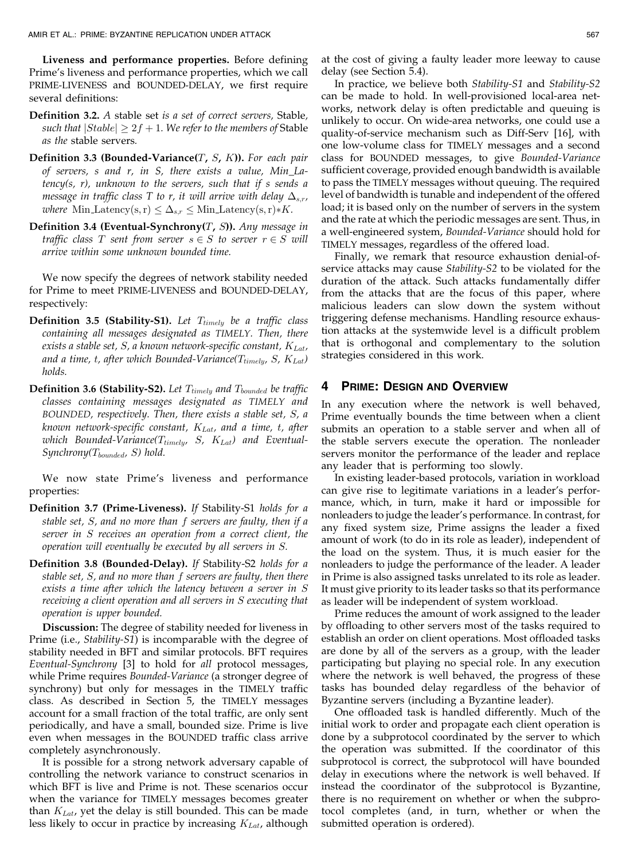Liveness and performance properties. Before defining Prime's liveness and performance properties, which we call PRIME-LIVENESS and BOUNDED-DELAY, we first require several definitions:

- **Definition 3.2.** A stable set is a set of correct servers, Stable, such that  $|Stable| \geq 2f + 1$ . We refer to the members of Stable as the stable servers.
- **Definition 3.3 (Bounded-Variance** $(T, S, K)$ ). For each pair of servers, s and r, in S, there exists a value, Min\_Latency(s, r), unknown to the servers, such that if s sends a message in traffic class T to r, it will arrive with delay  $\Delta_{s,r}$ , where  $\text{Min}\_\text{Latency}(s, r) \leq \Delta_{s,r} \leq \text{Min}\_\text{Latency}(s, r) * K.$
- Definition 3.4 (Eventual-Synchrony $(T, S)$ ). Any message in traffic class T sent from server  $s \in S$  to server  $r \in S$  will arrive within some unknown bounded time.

We now specify the degrees of network stability needed for Prime to meet PRIME-LIVENESS and BOUNDED-DELAY, respectively:

- **Definition 3.5 (Stability-S1).** Let  $T_{timely}$  be a traffic class containing all messages designated as TIMELY. Then, there exists a stable set, S, a known network-specific constant,  $K_{Lat}$ , and a time, t, after which Bounded-Variance( $T_{timely}$ , S,  $K_{Lat}$ ) holds.
- **Definition 3.6 (Stability-S2).** Let  $T_{timely}$  and  $T_{bounded}$  be traffic classes containing messages designated as TIMELY and BOUNDED, respectively. Then, there exists a stable set, S, a known network-specific constant,  $K_{Lat}$ , and a time, t, after which Bounded-Variance( $T_{timely}$ , S,  $K_{Lat}$ ) and Eventual-Synchrony( $T_{bounded}$ , S) hold.

We now state Prime's liveness and performance properties:

- Definition 3.7 (Prime-Liveness). If Stability-S1 holds for a stable set, S, and no more than f servers are faulty, then if a server in S receives an operation from a correct client, the operation will eventually be executed by all servers in S.
- Definition 3.8 (Bounded-Delay). If Stability-S2 holds for a stable set, S, and no more than f servers are faulty, then there exists a time after which the latency between a server in S receiving a client operation and all servers in S executing that operation is upper bounded.

Discussion: The degree of stability needed for liveness in Prime (i.e., Stability-S1) is incomparable with the degree of stability needed in BFT and similar protocols. BFT requires Eventual-Synchrony [3] to hold for all protocol messages, while Prime requires Bounded-Variance (a stronger degree of synchrony) but only for messages in the TIMELY traffic class. As described in Section 5, the TIMELY messages account for a small fraction of the total traffic, are only sent periodically, and have a small, bounded size. Prime is live even when messages in the BOUNDED traffic class arrive completely asynchronously.

It is possible for a strong network adversary capable of controlling the network variance to construct scenarios in which BFT is live and Prime is not. These scenarios occur when the variance for TIMELY messages becomes greater than  $K_{Lat}$ , yet the delay is still bounded. This can be made less likely to occur in practice by increasing  $K_{Lat}$ , although

at the cost of giving a faulty leader more leeway to cause delay (see Section 5.4).

In practice, we believe both Stability-S1 and Stability-S2 can be made to hold. In well-provisioned local-area networks, network delay is often predictable and queuing is unlikely to occur. On wide-area networks, one could use a quality-of-service mechanism such as Diff-Serv [16], with one low-volume class for TIMELY messages and a second class for BOUNDED messages, to give Bounded-Variance sufficient coverage, provided enough bandwidth is available to pass the TIMELY messages without queuing. The required level of bandwidth is tunable and independent of the offered load; it is based only on the number of servers in the system and the rate at which the periodic messages are sent. Thus, in a well-engineered system, Bounded-Variance should hold for TIMELY messages, regardless of the offered load.

Finally, we remark that resource exhaustion denial-ofservice attacks may cause Stability-S2 to be violated for the duration of the attack. Such attacks fundamentally differ from the attacks that are the focus of this paper, where malicious leaders can slow down the system without triggering defense mechanisms. Handling resource exhaustion attacks at the systemwide level is a difficult problem that is orthogonal and complementary to the solution strategies considered in this work.

## 4 PRIME: DESIGN AND OVERVIEW

In any execution where the network is well behaved, Prime eventually bounds the time between when a client submits an operation to a stable server and when all of the stable servers execute the operation. The nonleader servers monitor the performance of the leader and replace any leader that is performing too slowly.

In existing leader-based protocols, variation in workload can give rise to legitimate variations in a leader's performance, which, in turn, make it hard or impossible for nonleaders to judge the leader's performance. In contrast, for any fixed system size, Prime assigns the leader a fixed amount of work (to do in its role as leader), independent of the load on the system. Thus, it is much easier for the nonleaders to judge the performance of the leader. A leader in Prime is also assigned tasks unrelated to its role as leader. It must give priority to its leader tasks so that its performance as leader will be independent of system workload.

Prime reduces the amount of work assigned to the leader by offloading to other servers most of the tasks required to establish an order on client operations. Most offloaded tasks are done by all of the servers as a group, with the leader participating but playing no special role. In any execution where the network is well behaved, the progress of these tasks has bounded delay regardless of the behavior of Byzantine servers (including a Byzantine leader).

One offloaded task is handled differently. Much of the initial work to order and propagate each client operation is done by a subprotocol coordinated by the server to which the operation was submitted. If the coordinator of this subprotocol is correct, the subprotocol will have bounded delay in executions where the network is well behaved. If instead the coordinator of the subprotocol is Byzantine, there is no requirement on whether or when the subprotocol completes (and, in turn, whether or when the submitted operation is ordered).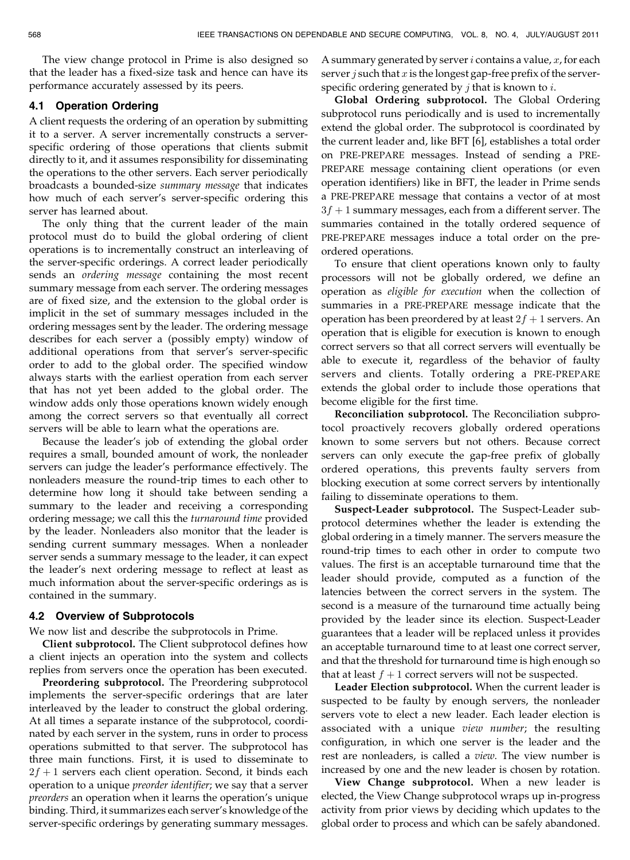The view change protocol in Prime is also designed so that the leader has a fixed-size task and hence can have its performance accurately assessed by its peers.

# 4.1 Operation Ordering

A client requests the ordering of an operation by submitting it to a server. A server incrementally constructs a serverspecific ordering of those operations that clients submit directly to it, and it assumes responsibility for disseminating the operations to the other servers. Each server periodically broadcasts a bounded-size summary message that indicates how much of each server's server-specific ordering this server has learned about.

The only thing that the current leader of the main protocol must do to build the global ordering of client operations is to incrementally construct an interleaving of the server-specific orderings. A correct leader periodically sends an ordering message containing the most recent summary message from each server. The ordering messages are of fixed size, and the extension to the global order is implicit in the set of summary messages included in the ordering messages sent by the leader. The ordering message describes for each server a (possibly empty) window of additional operations from that server's server-specific order to add to the global order. The specified window always starts with the earliest operation from each server that has not yet been added to the global order. The window adds only those operations known widely enough among the correct servers so that eventually all correct servers will be able to learn what the operations are.

Because the leader's job of extending the global order requires a small, bounded amount of work, the nonleader servers can judge the leader's performance effectively. The nonleaders measure the round-trip times to each other to determine how long it should take between sending a summary to the leader and receiving a corresponding ordering message; we call this the turnaround time provided by the leader. Nonleaders also monitor that the leader is sending current summary messages. When a nonleader server sends a summary message to the leader, it can expect the leader's next ordering message to reflect at least as much information about the server-specific orderings as is contained in the summary.

## 4.2 Overview of Subprotocols

We now list and describe the subprotocols in Prime.

Client subprotocol. The Client subprotocol defines how a client injects an operation into the system and collects replies from servers once the operation has been executed.

Preordering subprotocol. The Preordering subprotocol implements the server-specific orderings that are later interleaved by the leader to construct the global ordering. At all times a separate instance of the subprotocol, coordinated by each server in the system, runs in order to process operations submitted to that server. The subprotocol has three main functions. First, it is used to disseminate to  $2f + 1$  servers each client operation. Second, it binds each operation to a unique preorder identifier; we say that a server preorders an operation when it learns the operation's unique binding. Third, it summarizes each server's knowledge of the server-specific orderings by generating summary messages. A summary generated by server  $i$  contains a value,  $x$ , for each server *j* such that  $x$  is the longest gap-free prefix of the serverspecific ordering generated by  $j$  that is known to  $i$ .

Global Ordering subprotocol. The Global Ordering subprotocol runs periodically and is used to incrementally extend the global order. The subprotocol is coordinated by the current leader and, like BFT [6], establishes a total order on PRE-PREPARE messages. Instead of sending a PRE-PREPARE message containing client operations (or even operation identifiers) like in BFT, the leader in Prime sends a PRE-PREPARE message that contains a vector of at most  $3f + 1$  summary messages, each from a different server. The summaries contained in the totally ordered sequence of PRE-PREPARE messages induce a total order on the preordered operations.

To ensure that client operations known only to faulty processors will not be globally ordered, we define an operation as eligible for execution when the collection of summaries in a PRE-PREPARE message indicate that the operation has been preordered by at least  $2f + 1$  servers. An operation that is eligible for execution is known to enough correct servers so that all correct servers will eventually be able to execute it, regardless of the behavior of faulty servers and clients. Totally ordering a PRE-PREPARE extends the global order to include those operations that become eligible for the first time.

Reconciliation subprotocol. The Reconciliation subprotocol proactively recovers globally ordered operations known to some servers but not others. Because correct servers can only execute the gap-free prefix of globally ordered operations, this prevents faulty servers from blocking execution at some correct servers by intentionally failing to disseminate operations to them.

Suspect-Leader subprotocol. The Suspect-Leader subprotocol determines whether the leader is extending the global ordering in a timely manner. The servers measure the round-trip times to each other in order to compute two values. The first is an acceptable turnaround time that the leader should provide, computed as a function of the latencies between the correct servers in the system. The second is a measure of the turnaround time actually being provided by the leader since its election. Suspect-Leader guarantees that a leader will be replaced unless it provides an acceptable turnaround time to at least one correct server, and that the threshold for turnaround time is high enough so that at least  $f + 1$  correct servers will not be suspected.

Leader Election subprotocol. When the current leader is suspected to be faulty by enough servers, the nonleader servers vote to elect a new leader. Each leader election is associated with a unique view number; the resulting configuration, in which one server is the leader and the rest are nonleaders, is called a view. The view number is increased by one and the new leader is chosen by rotation.

View Change subprotocol. When a new leader is elected, the View Change subprotocol wraps up in-progress activity from prior views by deciding which updates to the global order to process and which can be safely abandoned.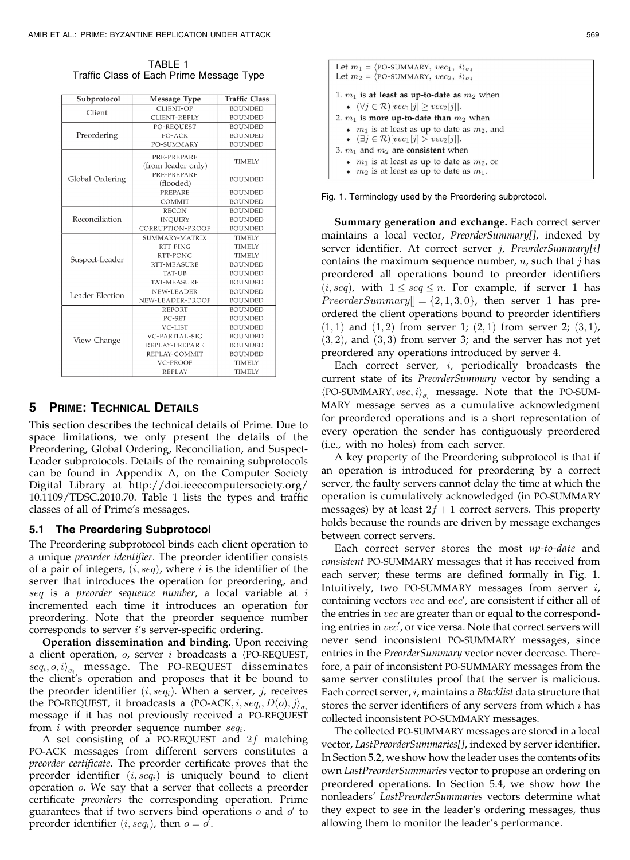TABLE 1 Traffic Class of Each Prime Message Type

| Subprotocol     | <b>Message Type</b>               | <b>Traffic Class</b> |
|-----------------|-----------------------------------|----------------------|
| Client          | <b>CLIENT-OP</b>                  | <b>BOUNDED</b>       |
|                 | CLIENT-REPLY                      | <b>BOUNDED</b>       |
| Preordering     | PO-REQUEST                        | <b>BOUNDED</b>       |
|                 | PO-ACK                            | <b>BOUNDED</b>       |
|                 | PO-SUMMARY                        | <b>BOUNDED</b>       |
| Global Ordering | PRE-PREPARE<br>(from leader only) | <b>TIMELY</b>        |
|                 | PRE-PREPARE<br>(flooded)          | <b>BOUNDED</b>       |
|                 | PREPARE                           | <b>BOUNDED</b>       |
|                 | <b>COMMIT</b>                     | <b>BOUNDED</b>       |
| Reconciliation  | <b>RECON</b>                      | <b>BOUNDED</b>       |
|                 | <b>INOUIRY</b>                    | <b>BOUNDED</b>       |
|                 | <b>CORRUPTION-PROOF</b>           | <b>BOUNDED</b>       |
| Suspect-Leader  | SUMMARY-MATRIX                    | <b>TIMELY</b>        |
|                 | <b>RTT-PING</b>                   | <b>TIMELY</b>        |
|                 | RTT-PONG                          | <b>TIMELY</b>        |
|                 | <b>RTT-MEASURE</b>                | <b>BOUNDED</b>       |
|                 | <b>TAT-UB</b>                     | <b>BOUNDED</b>       |
|                 | <b>TAT-MEASURE</b>                | <b>BOUNDED</b>       |
| Leader Election | NEW-LEADER                        | <b>BOUNDED</b>       |
|                 | NEW-LEADER-PROOF                  | <b>BOUNDED</b>       |
| View Change     | <b>REPORT</b>                     | <b>BOUNDED</b>       |
|                 | PC-SET                            | <b>BOUNDED</b>       |
|                 | VC-LIST                           | <b>BOUNDED</b>       |
|                 | <b>VC-PARTIAL-SIG</b>             | <b>BOUNDED</b>       |
|                 | REPLAY-PREPARE                    | <b>BOUNDED</b>       |
|                 | REPLAY-COMMIT                     | <b>BOUNDED</b>       |
|                 | VC-PROOF                          | <b>TIMELY</b>        |
|                 | REPLAY                            | <b>TIMELY</b>        |

# 5 PRIME: TECHNICAL DETAILS

This section describes the technical details of Prime. Due to space limitations, we only present the details of the Preordering, Global Ordering, Reconciliation, and Suspect-Leader subprotocols. Details of the remaining subprotocols can be found in Appendix A, on the Computer Society Digital Library at http://doi.ieeecomputersociety.org/ 10.1109/TDSC.2010.70. Table 1 lists the types and traffic classes of all of Prime's messages.

## 5.1 The Preordering Subprotocol

The Preordering subprotocol binds each client operation to a unique preorder identifier. The preorder identifier consists of a pair of integers,  $(i, seq)$ , where i is the identifier of the server that introduces the operation for preordering, and seq is a preorder sequence number, a local variable at  $i$ incremented each time it introduces an operation for preordering. Note that the preorder sequence number corresponds to server i's server-specific ordering.

Operation dissemination and binding. Upon receiving a client operation,  $o$ , server i broadcasts a  $\langle$ PO-REQUEST,  $seq_i, o, i\rangle_{\sigma}$  message. The PO-REQUEST disseminates the client's operation and proposes that it be bound to the preorder identifier  $(i, seq_i)$ . When a server, j, receives the PO-REQUEST, it broadcasts a  $\langle$ PO-ACK,  $i$ ,  $seq_i$ ,  $D(o)$ ,  $j\rangle_{\sigma_i}$ message if it has not previously received a PO-REQUEST from  $i$  with preorder sequence number  $seq_i$ .

A set consisting of a PO-REQUEST and  $2f$  matching PO-ACK messages from different servers constitutes a preorder certificate. The preorder certificate proves that the preorder identifier  $(i, seq_i)$  is uniquely bound to client operation o. We say that a server that collects a preorder certificate preorders the corresponding operation. Prime guarantees that if two servers bind operations  $\sigma$  and  $\sigma'$  to preorder identifier  $(i, seq_i)$ , then  $o = o^7$ .

Let  $m_1 = \langle$  PO-SUMMARY,  $vec_1, i \rangle_{\sigma_i}$ Let  $m_2 = \langle$  PO-SUMMARY,  $vec_2, i \rangle_{\sigma_i}$ 1.  $m_1$  is at least as up-to-date as  $m_2$  when •  $(\forall j \in \mathcal{R}) [vec_1[j] \geq vec_2[j]].$ 2.  $m_1$  is more up-to-date than  $m_2$  when •  $m_1$  is at least as up to date as  $m_2$ , and •  $(\exists j \in \mathcal{R}) [vec_1[j] > vec_2[j]].$ 3.  $m_1$  and  $m_2$  are consistent when •  $m_1$  is at least as up to date as  $m_2$ , or •  $m_2$  is at least as up to date as  $m_1$ .

Fig. 1. Terminology used by the Preordering subprotocol.

Summary generation and exchange. Each correct server maintains a local vector, PreorderSummary[], indexed by server identifier. At correct server j, PreorderSummary[i] contains the maximum sequence number,  $n$ , such that  $j$  has preordered all operations bound to preorder identifiers  $(i, seq)$ , with  $1 \leq seq \leq n$ . For example, if server 1 has *PreorderSummary* $[]=\{2, 1, 3, 0\}$ , then server 1 has preordered the client operations bound to preorder identifiers  $(1, 1)$  and  $(1, 2)$  from server 1;  $(2, 1)$  from server 2;  $(3, 1)$ ,  $(3, 2)$ , and  $(3, 3)$  from server 3; and the server has not yet preordered any operations introduced by server 4.

Each correct server,  $i$ , periodically broadcasts the current state of its PreorderSummary vector by sending a  $\langle$ PO-SUMMARY,  $vec, i\rangle_{\sigma_i}$  message. Note that the PO-SUM-MARY message serves as a cumulative acknowledgment for preordered operations and is a short representation of every operation the sender has contiguously preordered (i.e., with no holes) from each server.

A key property of the Preordering subprotocol is that if an operation is introduced for preordering by a correct server, the faulty servers cannot delay the time at which the operation is cumulatively acknowledged (in PO-SUMMARY messages) by at least  $2f + 1$  correct servers. This property holds because the rounds are driven by message exchanges between correct servers.

Each correct server stores the most up-to-date and consistent PO-SUMMARY messages that it has received from each server; these terms are defined formally in Fig. 1. Intuitively, two PO-SUMMARY messages from server i, containing vectors  $vec$  and  $vec'$ , are consistent if either all of the entries in vec are greater than or equal to the corresponding entries in  $vec'$ , or vice versa. Note that correct servers will never send inconsistent PO-SUMMARY messages, since entries in the *PreorderSummary* vector never decrease. Therefore, a pair of inconsistent PO-SUMMARY messages from the same server constitutes proof that the server is malicious. Each correct server, i, maintains a Blacklist data structure that stores the server identifiers of any servers from which  $i$  has collected inconsistent PO-SUMMARY messages.

The collected PO-SUMMARY messages are stored in a local vector, LastPreorderSummaries[], indexed by server identifier. In Section 5.2, we show how the leader uses the contents of its own LastPreorderSummaries vector to propose an ordering on preordered operations. In Section 5.4, we show how the nonleaders' LastPreorderSummaries vectors determine what they expect to see in the leader's ordering messages, thus allowing them to monitor the leader's performance.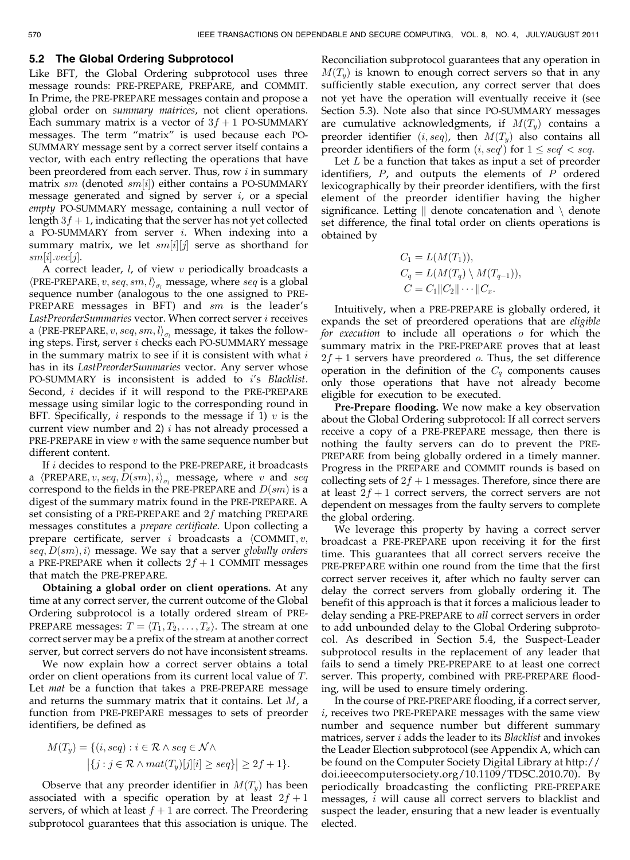## 5.2 The Global Ordering Subprotocol

Like BFT, the Global Ordering subprotocol uses three message rounds: PRE-PREPARE, PREPARE, and COMMIT. In Prime, the PRE-PREPARE messages contain and propose a global order on *summary matrices*, not client operations. Each summary matrix is a vector of  $3f + 1$  PO-SUMMARY messages. The term "matrix" is used because each PO-SUMMARY message sent by a correct server itself contains a vector, with each entry reflecting the operations that have been preordered from each server. Thus, row  $i$  in summary matrix  $sm$  (denoted  $sm[i]$ ) either contains a PO-SUMMARY message generated and signed by server  $i$ , or a special empty PO-SUMMARY message, containing a null vector of length  $3f + 1$ , indicating that the server has not yet collected a PO-SUMMARY from server  $i$ . When indexing into a summary matrix, we let  $sm[i][j]$  serve as shorthand for  $sm[i].vec[j].$ 

A correct leader,  $l$ , of view  $v$  periodically broadcasts a  $\langle$ PRE-PREPARE, v, seq, sm, l $\rangle_{\sigma}$  message, where seq is a global sequence number (analogous to the one assigned to PRE-PREPARE messages in BFT) and  $sm$  is the leader's LastPreorderSummaries vector. When correct server i receives a  $\langle$ PRE-PREPARE,  $v$ , seq, sm,  $l\rangle_{\sigma}$  message, it takes the following steps. First, server i checks each PO-SUMMARY message in the summary matrix to see if it is consistent with what  $i$ has in its *LastPreorderSummaries* vector. Any server whose PO-SUMMARY is inconsistent is added to i's Blacklist. Second, i decides if it will respond to the PRE-PREPARE message using similar logic to the corresponding round in BFT. Specifically,  $i$  responds to the message if 1)  $v$  is the current view number and 2)  $i$  has not already processed a PRE-PREPARE in view  $v$  with the same sequence number but different content.

If i decides to respond to the PRE-PREPARE, it broadcasts a  $\langle$ PREPARE,  $v$ , seq,  $D(sm)$ ,  $i\rangle_{\sigma_l}$  message, where v and seq correspond to the fields in the PRE-PREPARE and  $D(s_m)$  is a digest of the summary matrix found in the PRE-PREPARE. A set consisting of a PRE-PREPARE and  $2f$  matching PREPARE messages constitutes a prepare certificate. Upon collecting a prepare certificate, server *i* broadcasts a  $\langle$  COMMIT,  $v$ ,  $seq, D(sm), i$  message. We say that a server globally orders a PRE-PREPARE when it collects  $2f + 1$  COMMIT messages that match the PRE-PREPARE.

Obtaining a global order on client operations. At any time at any correct server, the current outcome of the Global Ordering subprotocol is a totally ordered stream of PRE-PREPARE messages:  $T = \langle T_1, T_2, \ldots, T_x \rangle$ . The stream at one correct server may be a prefix of the stream at another correct server, but correct servers do not have inconsistent streams.

We now explain how a correct server obtains a total order on client operations from its current local value of T. Let mat be a function that takes a PRE-PREPARE message and returns the summary matrix that it contains. Let  $M$ , a function from PRE-PREPARE messages to sets of preorder identifiers, be defined as

$$
M(T_y) = \{(i, seq) : i \in \mathcal{R} \land seq \in \mathcal{N} \land
$$

$$
|\{j : j \in \mathcal{R} \land mat(T_y)[j][i] \ge seq\}| \ge 2f + 1\}.
$$

Observe that any preorder identifier in  $M(T_y)$  has been associated with a specific operation by at least  $2f + 1$ servers, of which at least  $f + 1$  are correct. The Preordering subprotocol guarantees that this association is unique. The Reconciliation subprotocol guarantees that any operation in  $M(T<sub>v</sub>)$  is known to enough correct servers so that in any sufficiently stable execution, any correct server that does not yet have the operation will eventually receive it (see Section 5.3). Note also that since PO-SUMMARY messages are cumulative acknowledgments, if  $M(T<sub>y</sub>)$  contains a preorder identifier  $(i, seq)$ , then  $M(T_y)$  also contains all preorder identifiers of the form  $(i, seq')$  for  $1 \leq seq' < seq$ .

Let  $L$  be a function that takes as input a set of preorder identifiers,  $P$ , and outputs the elements of  $P$  ordered lexicographically by their preorder identifiers, with the first element of the preorder identifier having the higher significance. Letting  $\parallel$  denote concatenation and  $\setminus$  denote set difference, the final total order on clients operations is obtained by

$$
C_1 = L(M(T_1)),
$$
  
\n
$$
C_q = L(M(T_q) \setminus M(T_{q-1})),
$$
  
\n
$$
C = C_1 ||C_2|| \cdots ||C_x.
$$

Intuitively, when a PRE-PREPARE is globally ordered, it expands the set of preordered operations that are eligible for execution to include all operations  $\sigma$  for which the summary matrix in the PRE-PREPARE proves that at least  $2f + 1$  servers have preordered  $o$ . Thus, the set difference operation in the definition of the  $C_q$  components causes only those operations that have not already become eligible for execution to be executed.

Pre-Prepare flooding. We now make a key observation about the Global Ordering subprotocol: If all correct servers receive a copy of a PRE-PREPARE message, then there is nothing the faulty servers can do to prevent the PRE-PREPARE from being globally ordered in a timely manner. Progress in the PREPARE and COMMIT rounds is based on collecting sets of  $2f + 1$  messages. Therefore, since there are at least  $2f + 1$  correct servers, the correct servers are not dependent on messages from the faulty servers to complete the global ordering.

We leverage this property by having a correct server broadcast a PRE-PREPARE upon receiving it for the first time. This guarantees that all correct servers receive the PRE-PREPARE within one round from the time that the first correct server receives it, after which no faulty server can delay the correct servers from globally ordering it. The benefit of this approach is that it forces a malicious leader to delay sending a PRE-PREPARE to all correct servers in order to add unbounded delay to the Global Ordering subprotocol. As described in Section 5.4, the Suspect-Leader subprotocol results in the replacement of any leader that fails to send a timely PRE-PREPARE to at least one correct server. This property, combined with PRE-PREPARE flooding, will be used to ensure timely ordering.

In the course of PRE-PREPARE flooding, if a correct server,  $i$ , receives two PRE-PREPARE messages with the same view number and sequence number but different summary matrices, server i adds the leader to its Blacklist and invokes the Leader Election subprotocol (see Appendix A, which can be found on the Computer Society Digital Library at http:// doi.ieeecomputersociety.org/10.1109/TDSC.2010.70). By periodically broadcasting the conflicting PRE-PREPARE messages, i will cause all correct servers to blacklist and suspect the leader, ensuring that a new leader is eventually elected.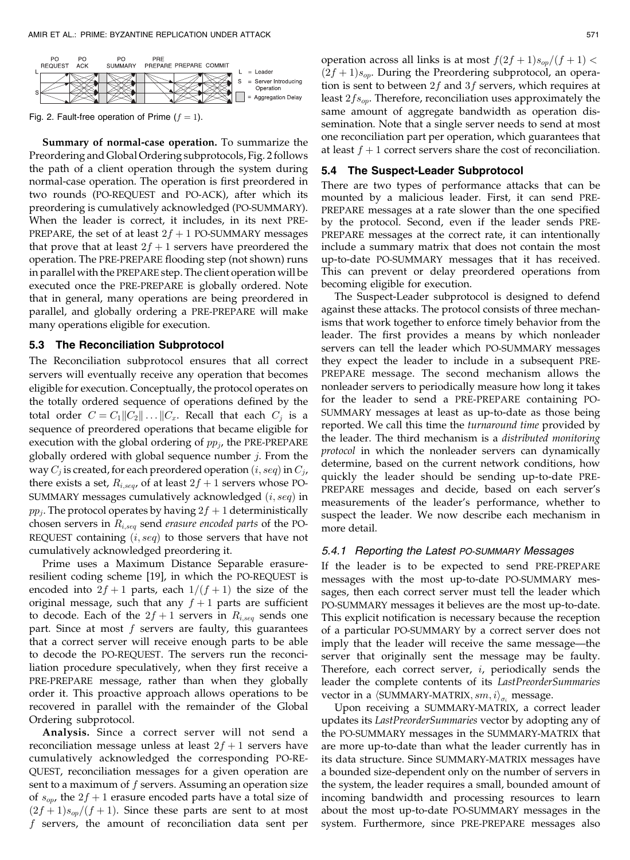

Fig. 2. Fault-free operation of Prime  $(f = 1)$ .

Summary of normal-case operation. To summarize the Preordering and Global Ordering subprotocols, Fig. 2 follows the path of a client operation through the system during normal-case operation. The operation is first preordered in two rounds (PO-REQUEST and PO-ACK), after which its preordering is cumulatively acknowledged (PO-SUMMARY). When the leader is correct, it includes, in its next PRE-PREPARE, the set of at least  $2f + 1$  PO-SUMMARY messages that prove that at least  $2f + 1$  servers have preordered the operation. The PRE-PREPARE flooding step (not shown) runs in parallel with the PREPARE step. The client operation will be executed once the PRE-PREPARE is globally ordered. Note that in general, many operations are being preordered in parallel, and globally ordering a PRE-PREPARE will make many operations eligible for execution.

### 5.3 The Reconciliation Subprotocol

The Reconciliation subprotocol ensures that all correct servers will eventually receive any operation that becomes eligible for execution. Conceptually, the protocol operates on the totally ordered sequence of operations defined by the total order  $C = C_1 ||C_2|| \dots ||C_x$ . Recall that each  $C_j$  is a sequence of preordered operations that became eligible for execution with the global ordering of  $pp_j$ , the PRE-PREPARE globally ordered with global sequence number  $j$ . From the way  $C_j$  is created, for each preordered operation  $(i, seq)$  in  $C_j$ , there exists a set,  $R_{i,seq}$ , of at least  $2f + 1$  servers whose PO-SUMMARY messages cumulatively acknowledged  $(i, seq)$  in  $pp_i$ . The protocol operates by having  $2f + 1$  deterministically chosen servers in  $R_{i,seq}$  send erasure encoded parts of the PO-REQUEST containing  $(i, seq)$  to those servers that have not cumulatively acknowledged preordering it.

Prime uses a Maximum Distance Separable erasureresilient coding scheme [19], in which the PO-REQUEST is encoded into  $2f + 1$  parts, each  $1/(f + 1)$  the size of the original message, such that any  $f + 1$  parts are sufficient to decode. Each of the  $2f + 1$  servers in  $R_{i,seq}$  sends one part. Since at most  $f$  servers are faulty, this guarantees that a correct server will receive enough parts to be able to decode the PO-REQUEST. The servers run the reconciliation procedure speculatively, when they first receive a PRE-PREPARE message, rather than when they globally order it. This proactive approach allows operations to be recovered in parallel with the remainder of the Global Ordering subprotocol.

Analysis. Since a correct server will not send a reconciliation message unless at least  $2f + 1$  servers have cumulatively acknowledged the corresponding PO-RE-QUEST, reconciliation messages for a given operation are sent to a maximum of  $f$  servers. Assuming an operation size of  $s_{op}$ , the 2f + 1 erasure encoded parts have a total size of  $(2f+1)s_{op}/(f+1)$ . Since these parts are sent to at most f servers, the amount of reconciliation data sent per

operation across all links is at most  $f(2f+1)s_{op}/(f+1)$  <  $(2f + 1)s<sub>op</sub>$ . During the Preordering subprotocol, an operation is sent to between  $2f$  and  $3f$  servers, which requires at least  $2f_{\text{Sop}}$ . Therefore, reconciliation uses approximately the same amount of aggregate bandwidth as operation dissemination. Note that a single server needs to send at most one reconciliation part per operation, which guarantees that at least  $f + 1$  correct servers share the cost of reconciliation.

## 5.4 The Suspect-Leader Subprotocol

There are two types of performance attacks that can be mounted by a malicious leader. First, it can send PRE-PREPARE messages at a rate slower than the one specified by the protocol. Second, even if the leader sends PRE-PREPARE messages at the correct rate, it can intentionally include a summary matrix that does not contain the most up-to-date PO-SUMMARY messages that it has received. This can prevent or delay preordered operations from becoming eligible for execution.

The Suspect-Leader subprotocol is designed to defend against these attacks. The protocol consists of three mechanisms that work together to enforce timely behavior from the leader. The first provides a means by which nonleader servers can tell the leader which PO-SUMMARY messages they expect the leader to include in a subsequent PRE-PREPARE message. The second mechanism allows the nonleader servers to periodically measure how long it takes for the leader to send a PRE-PREPARE containing PO-SUMMARY messages at least as up-to-date as those being reported. We call this time the turnaround time provided by the leader. The third mechanism is a distributed monitoring protocol in which the nonleader servers can dynamically determine, based on the current network conditions, how quickly the leader should be sending up-to-date PRE-PREPARE messages and decide, based on each server's measurements of the leader's performance, whether to suspect the leader. We now describe each mechanism in more detail.

#### 5.4.1 Reporting the Latest PO-SUMMARY Messages

If the leader is to be expected to send PRE-PREPARE messages with the most up-to-date PO-SUMMARY messages, then each correct server must tell the leader which PO-SUMMARY messages it believes are the most up-to-date. This explicit notification is necessary because the reception of a particular PO-SUMMARY by a correct server does not imply that the leader will receive the same message—the server that originally sent the message may be faulty. Therefore, each correct server,  $i$ , periodically sends the leader the complete contents of its LastPreorderSummaries vector in a  $\langle$ SUMMARY-MATRIX,  $sm, i\rangle_{\sigma_i}$  message.

Upon receiving a SUMMARY-MATRIX, a correct leader updates its LastPreorderSummaries vector by adopting any of the PO-SUMMARY messages in the SUMMARY-MATRIX that are more up-to-date than what the leader currently has in its data structure. Since SUMMARY-MATRIX messages have a bounded size-dependent only on the number of servers in the system, the leader requires a small, bounded amount of incoming bandwidth and processing resources to learn about the most up-to-date PO-SUMMARY messages in the system. Furthermore, since PRE-PREPARE messages also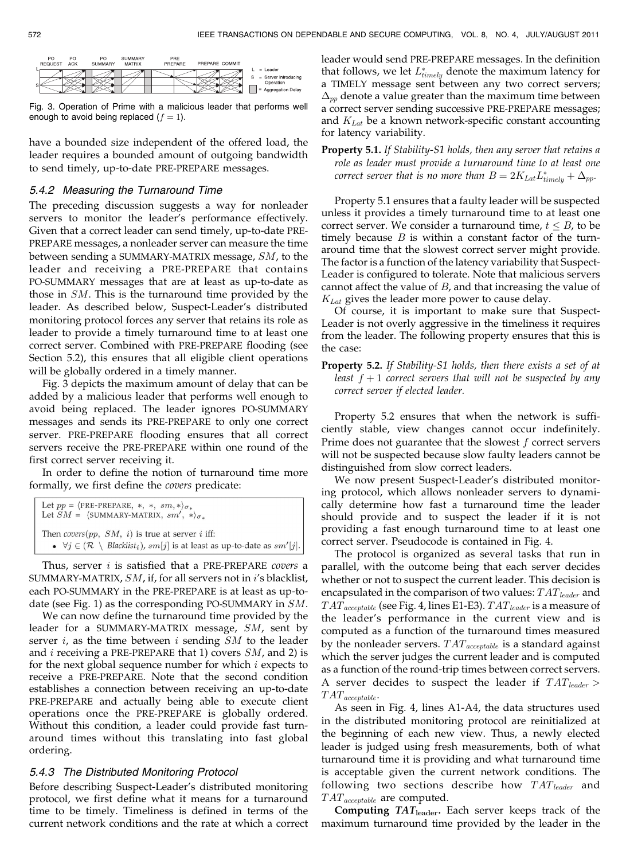

Fig. 3. Operation of Prime with a malicious leader that performs well enough to avoid being replaced  $(f = 1)$ .

have a bounded size independent of the offered load, the leader requires a bounded amount of outgoing bandwidth to send timely, up-to-date PRE-PREPARE messages.

# 5.4.2 Measuring the Turnaround Time

The preceding discussion suggests a way for nonleader servers to monitor the leader's performance effectively. Given that a correct leader can send timely, up-to-date PRE-PREPARE messages, a nonleader server can measure the time between sending a SUMMARY-MATRIX message, SM, to the leader and receiving a PRE-PREPARE that contains PO-SUMMARY messages that are at least as up-to-date as those in SM. This is the turnaround time provided by the leader. As described below, Suspect-Leader's distributed monitoring protocol forces any server that retains its role as leader to provide a timely turnaround time to at least one correct server. Combined with PRE-PREPARE flooding (see Section 5.2), this ensures that all eligible client operations will be globally ordered in a timely manner.

Fig. 3 depicts the maximum amount of delay that can be added by a malicious leader that performs well enough to avoid being replaced. The leader ignores PO-SUMMARY messages and sends its PRE-PREPARE to only one correct server. PRE-PREPARE flooding ensures that all correct servers receive the PRE-PREPARE within one round of the first correct server receiving it.

In order to define the notion of turnaround time more formally, we first define the covers predicate:

```
Let pp = \langle PRE-PREPARE, *, *, sm, *\rangle_{\sigma},
Let SM = \langle \text{SUMMARY-MATRIX}, \, \, sm', \, * \rangle_{\sigma_*}Then \text{covers}(pp, SM, i) is true at server i iff:
   • \forall j \in (\mathcal{R} \setminus \text{Blacklist}_i), \, sm[j] is at least as up-to-date as sm'[j].
```
Thus, server  $i$  is satisfied that a PRE-PREPARE covers a SUMMARY-MATRIX,  $SM$ , if, for all servers not in i's blacklist, each PO-SUMMARY in the PRE-PREPARE is at least as up-todate (see Fig. 1) as the corresponding PO-SUMMARY in SM.

We can now define the turnaround time provided by the leader for a SUMMARY-MATRIX message, SM, sent by server  $i$ , as the time between  $i$  sending  $SM$  to the leader and *i* receiving a PRE-PREPARE that 1) covers  $SM$ , and 2) is for the next global sequence number for which  $i$  expects to receive a PRE-PREPARE. Note that the second condition establishes a connection between receiving an up-to-date PRE-PREPARE and actually being able to execute client operations once the PRE-PREPARE is globally ordered. Without this condition, a leader could provide fast turnaround times without this translating into fast global ordering.

# 5.4.3 The Distributed Monitoring Protocol

Before describing Suspect-Leader's distributed monitoring protocol, we first define what it means for a turnaround time to be timely. Timeliness is defined in terms of the current network conditions and the rate at which a correct leader would send PRE-PREPARE messages. In the definition that follows, we let  $L_{timely}^*$  denote the maximum latency for a TIMELY message sent between any two correct servers;  $\Delta_{pp}$  denote a value greater than the maximum time between a correct server sending successive PRE-PREPARE messages; and  $K_{Lat}$  be a known network-specific constant accounting for latency variability.

Property 5.1. If Stability-S1 holds, then any server that retains a role as leader must provide a turnaround time to at least one correct server that is no more than  $B = 2K_{Lat}L_{timely}^* + \Delta_{pp}$ .

Property 5.1 ensures that a faulty leader will be suspected unless it provides a timely turnaround time to at least one correct server. We consider a turnaround time,  $t \leq B$ , to be timely because  $B$  is within a constant factor of the turnaround time that the slowest correct server might provide. The factor is a function of the latency variability that Suspect-Leader is configured to tolerate. Note that malicious servers cannot affect the value of  $B$ , and that increasing the value of  $K_{Lat}$  gives the leader more power to cause delay.

Of course, it is important to make sure that Suspect-Leader is not overly aggressive in the timeliness it requires from the leader. The following property ensures that this is the case:

Property 5.2. If Stability-S1 holds, then there exists a set of at least  $f + 1$  correct servers that will not be suspected by any correct server if elected leader.

Property 5.2 ensures that when the network is sufficiently stable, view changes cannot occur indefinitely. Prime does not guarantee that the slowest  $f$  correct servers will not be suspected because slow faulty leaders cannot be distinguished from slow correct leaders.

We now present Suspect-Leader's distributed monitoring protocol, which allows nonleader servers to dynamically determine how fast a turnaround time the leader should provide and to suspect the leader if it is not providing a fast enough turnaround time to at least one correct server. Pseudocode is contained in Fig. 4.

The protocol is organized as several tasks that run in parallel, with the outcome being that each server decides whether or not to suspect the current leader. This decision is encapsulated in the comparison of two values:  $TAT_{leader}$  and  $TAT_{\textit{acceptable}}$  (see Fig. 4, lines E1-E3).  $TAT_{\textit{leader}}$  is a measure of the leader's performance in the current view and is computed as a function of the turnaround times measured by the nonleader servers.  $TAT_{\textit{acceptable}}$  is a standard against which the server judges the current leader and is computed as a function of the round-trip times between correct servers. A server decides to suspect the leader if  $TAT_{leader} >$  $TAT_{acceptable}$ .

As seen in Fig. 4, lines A1-A4, the data structures used in the distributed monitoring protocol are reinitialized at the beginning of each new view. Thus, a newly elected leader is judged using fresh measurements, both of what turnaround time it is providing and what turnaround time is acceptable given the current network conditions. The following two sections describe how  $TAT_{leader}$  and  $TAT_{\text{acceptable}}$  are computed.

Computing TAT<sub>leader</sub>. Each server keeps track of the maximum turnaround time provided by the leader in the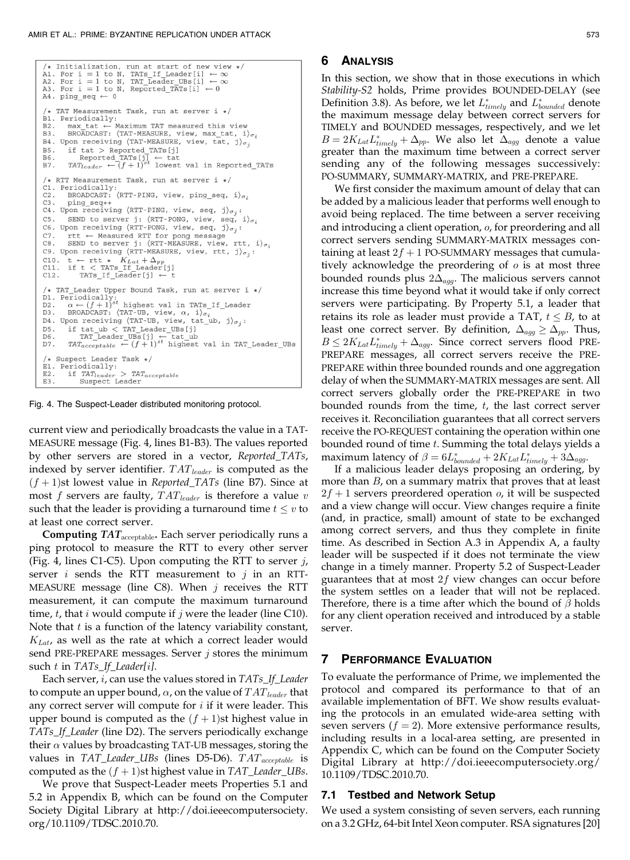```
/* Initialization, run at start of new view */<br>A1. For i = 1 to N, TATs If Leader [i] \leftarrow \infty<br>A2. For i = 1 to N, TAT_Leader_UBs [i] \leftarrow \inftyA3. For i = 1 to N, Reported TATs[i] \leftarrow 0A4. ping_seq \leftarrow 0
 /* TAT Measurement Task, run at server i */
B1. Periodically:<br>
B2. max_tat \leftarrow Maximum TAT measured this view<br>
B3. BROADCAST: (TAT-MEASURE, view, max_tat, i)\sigma_i<br>
B4. Upon receiving (TAT-MEASURE, view, tat, j)\sigma_jif tat > Reported TATs [j]<br>
Reported TATs [j]<br>
Reported TATs [j]<br>
R and \leftarrow TAT<sub>leader</sub> \leftarrow (f + 1)<sup>st</sup> lowest val in Reported_TATs
B5.
B7.
 /* RTT Measurement Task, run at server i */
C1. Periodically:
C2. BROADCAST: \langleRTT-PING, view, ping_seq, i\rangle_{\sigma_i}C3. ping_seq++ \degree C4. Upon receiving (RTT-PING, view, seq, j\rangle_{\sigma_j}:
C5. SEND to server j: \langle RTT-PONG, view, seq, j \rangle_{\sigma_i}<br>C6. Upon receiving \langle RTT-PONG, view, seq, j \rangle_{\sigma_i}:<br>C6. Upon receiving \langle RTT-PONG, view, seq, j \rangle_{\sigma_j}:<br>C7. rtt \leftarrow Measured RTT for pong message<br>C8. SEND to server j: \langle RTT-MEASURE, view, rtt, i \rangle_{\sigma_i}C9. Upon receiving (RTT-MEASURE, view, rtt, j\rangle_{\sigma_j}:
\begin{array}{lll} \texttt{C10.}\quad \texttt{t} \leftarrow \texttt{rtt} &\ast \quad K_{Lat} + \Delta_{pp} \\ \texttt{C11.}\quad \texttt{if}\ \texttt{t} \leq \texttt{TATS\_If\_Leader[j]} \\ \texttt{C12.}\qquad \texttt{TATS\_If\_Leader[j]} \leftarrow \texttt{t} \end{array}/* TAT_Leader Upper Bound Task, run at server i */
7* 1.1 Periodically:<br>
D1. Periodically:<br>
D2. \alpha \leftarrow (f+1)^{st} highest val in TATs_If_Leader<br>
D3. BROADCAST: \langle TAT-UB, view, \alpha, i \rangle_{\sigma_i}D4. Upon receiving (TAT-UB, view, tat_ub, j)\sigma_i:
D5. If tat ub < TAT Leader UBs[j]<br>D6. TAT Leader UBs[j] \leftarrow tat ub<br>D7. TAT _{acceptable} \leftarrow (f + 1)^{st} highest val in TAT Leader UBs
 /* Suspect Leader Task */
F1. Periodically:<br>E2. if TAT_{leader} > TAT_{acceptable}<br>E3. Suspect Leader
```
Fig. 4. The Suspect-Leader distributed monitoring protocol.

current view and periodically broadcasts the value in a TAT-MEASURE message (Fig. 4, lines B1-B3). The values reported by other servers are stored in a vector, Reported\_TATs, indexed by server identifier.  $TAT_{leader}$  is computed as the  $(f + 1)$ st lowest value in Reported\_TATs (line B7). Since at most  $f$  servers are faulty,  $TAT_{leader}$  is therefore a value  $v$ such that the leader is providing a turnaround time  $t \leq v$  to at least one correct server.

Computing TATacceptable. Each server periodically runs a ping protocol to measure the RTT to every other server (Fig. 4, lines C1-C5). Upon computing the RTT to server  $j$ , server *i* sends the RTT measurement to *j* in an RTT-MEASURE message (line C8). When  $j$  receives the RTT measurement, it can compute the maximum turnaround time,  $t$ , that  $i$  would compute if  $j$  were the leader (line C10). Note that  $t$  is a function of the latency variability constant,  $K_{Lat}$ , as well as the rate at which a correct leader would send PRE-PREPARE messages. Server  $j$  stores the minimum such t in TATs\_If\_Leader[i].

Each server, i, can use the values stored in TATs\_If\_Leader to compute an upper bound,  $\alpha$ , on the value of  $TAT_{leader}$  that any correct server will compute for  $i$  if it were leader. This upper bound is computed as the  $(f + 1)$ st highest value in TATs\_If\_Leader (line D2). The servers periodically exchange their  $\alpha$  values by broadcasting TAT-UB messages, storing the values in TAT\_Leader\_UBs (lines D5-D6).  $TAT_{\text{acceptable}}$  is computed as the  $(f + 1)$ st highest value in TAT\_Leader\_UBs.

We prove that Suspect-Leader meets Properties 5.1 and 5.2 in Appendix B, which can be found on the Computer Society Digital Library at http://doi.ieeecomputersociety. org/10.1109/TDSC.2010.70.

# 6 ANALYSIS

In this section, we show that in those executions in which Stability-S2 holds, Prime provides BOUNDED-DELAY (see Definition 3.8). As before, we let  $L_{timely}^*$  and  $L_{bounded}^*$  denote the maximum message delay between correct servers for TIMELY and BOUNDED messages, respectively, and we let  $B = 2K_{Lat}L_{timely}^* + \Delta_{pp}$ . We also let  $\Delta_{agg}$  denote a value greater than the maximum time between a correct server sending any of the following messages successively: PO-SUMMARY, SUMMARY-MATRIX, and PRE-PREPARE.

We first consider the maximum amount of delay that can be added by a malicious leader that performs well enough to avoid being replaced. The time between a server receiving and introducing a client operation, o, for preordering and all correct servers sending SUMMARY-MATRIX messages containing at least  $2f + 1$  PO-SUMMARY messages that cumulatively acknowledge the preordering of  $\sigma$  is at most three bounded rounds plus  $2\Delta_{agg}.$  The malicious servers cannot increase this time beyond what it would take if only correct servers were participating. By Property 5.1, a leader that retains its role as leader must provide a TAT,  $t \leq B$ , to at least one correct server. By definition,  $\Delta_{agg} \geq \Delta_{pp}.$  Thus,  $B \leq 2K_{Lat}L_{timely}^* + \Delta_{agg}$ . Since correct servers flood PRE-PREPARE messages, all correct servers receive the PRE-PREPARE within three bounded rounds and one aggregation delay of when the SUMMARY-MATRIX messages are sent. All correct servers globally order the PRE-PREPARE in two bounded rounds from the time,  $t$ , the last correct server receives it. Reconciliation guarantees that all correct servers receive the PO-REQUEST containing the operation within one bounded round of time  $t$ . Summing the total delays yields a maximum latency of  $\beta = 6L_{bounded}^* + 2K_{Lat}L_{timely}^* + 3\Delta_{agg}$ .

If a malicious leader delays proposing an ordering, by more than *B*, on a summary matrix that proves that at least  $2f + 1$  servers preordered operation  $o$ , it will be suspected and a view change will occur. View changes require a finite (and, in practice, small) amount of state to be exchanged among correct servers, and thus they complete in finite time. As described in Section A.3 in Appendix A, a faulty leader will be suspected if it does not terminate the view change in a timely manner. Property 5.2 of Suspect-Leader guarantees that at most  $2f$  view changes can occur before the system settles on a leader that will not be replaced. Therefore, there is a time after which the bound of  $\beta$  holds for any client operation received and introduced by a stable server.

## 7 PERFORMANCE EVALUATION

To evaluate the performance of Prime, we implemented the protocol and compared its performance to that of an available implementation of BFT. We show results evaluating the protocols in an emulated wide-area setting with seven servers  $(f = 2)$ . More extensive performance results, including results in a local-area setting, are presented in Appendix C, which can be found on the Computer Society Digital Library at http://doi.ieeecomputersociety.org/ 10.1109/TDSC.2010.70.

# 7.1 Testbed and Network Setup

We used a system consisting of seven servers, each running on a 3.2 GHz, 64-bit Intel Xeon computer. RSA signatures [20]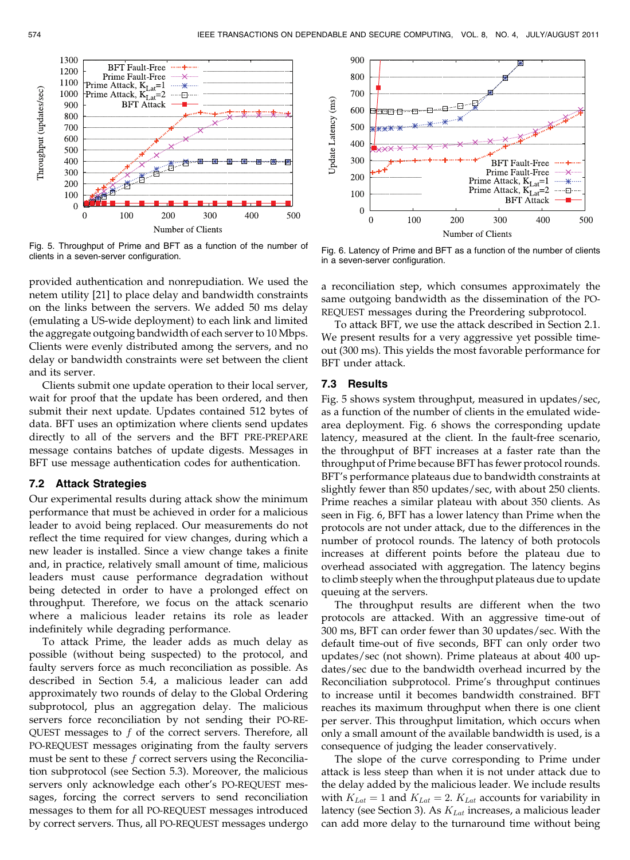

Fig. 5. Throughput of Prime and BFT as a function of the number of rig. 5. Throughput of Frime and BFT as a function of the number of clients<br>clients in a seven server configuration in a seven server configuration.

provided authentication and nonrepudiation. We used the netem utility [21] to place delay and bandwidth constraints on the links between the servers. We added 50 ms delay (emulating a US-wide deployment) to each link and limited the aggregate outgoing bandwidth of each server to 10 Mbps. Clients were evenly distributed among the servers, and no delay or bandwidth constraints were set between the client and its server.

Clients submit one update operation to their local server, wait for proof that the update has been ordered, and then submit their next update. Updates contained 512 bytes of data. BFT uses an optimization where clients send updates directly to all of the servers and the BFT PRE-PREPARE message contains batches of update digests. Messages in BFT use message authentication codes for authentication.

## 7.2 Attack Strategies

Our experimental results during attack show the minimum performance that must be achieved in order for a malicious leader to avoid being replaced. Our measurements do not reflect the time required for view changes, during which a new leader is installed. Since a view change takes a finite and, in practice, relatively small amount of time, malicious leaders must cause performance degradation without being detected in order to have a prolonged effect on throughput. Therefore, we focus on the attack scenario where a malicious leader retains its role as leader indefinitely while degrading performance.

To attack Prime, the leader adds as much delay as possible (without being suspected) to the protocol, and faulty servers force as much reconciliation as possible. As described in Section 5.4, a malicious leader can add approximately two rounds of delay to the Global Ordering subprotocol, plus an aggregation delay. The malicious servers force reconciliation by not sending their PO-RE-QUEST messages to  $f$  of the correct servers. Therefore, all PO-REQUEST messages originating from the faulty servers must be sent to these  $f$  correct servers using the Reconciliation subprotocol (see Section 5.3). Moreover, the malicious servers only acknowledge each other's PO-REQUEST messages, forcing the correct servers to send reconciliation messages to them for all PO-REQUEST messages introduced by correct servers. Thus, all PO-REQUEST messages undergo



in a seven-server configuration.

a reconciliation step, which consumes approximately the same outgoing bandwidth as the dissemination of the PO-REQUEST messages during the Preordering subprotocol.

To attack BFT, we use the attack described in Section 2.1. We present results for a very aggressive yet possible timeout (300 ms). This yields the most favorable performance for BFT under attack.

# 7.3 Results

Fig. 5 shows system throughput, measured in updates/sec, as a function of the number of clients in the emulated widearea deployment. Fig. 6 shows the corresponding update latency, measured at the client. In the fault-free scenario, the throughput of BFT increases at a faster rate than the throughput of Prime because BFT has fewer protocol rounds. BFT's performance plateaus due to bandwidth constraints at slightly fewer than 850 updates/sec, with about 250 clients. Prime reaches a similar plateau with about 350 clients. As seen in Fig. 6, BFT has a lower latency than Prime when the protocols are not under attack, due to the differences in the number of protocol rounds. The latency of both protocols increases at different points before the plateau due to overhead associated with aggregation. The latency begins to climb steeply when the throughput plateaus due to update queuing at the servers.

The throughput results are different when the two protocols are attacked. With an aggressive time-out of 300 ms, BFT can order fewer than 30 updates/sec. With the default time-out of five seconds, BFT can only order two updates/sec (not shown). Prime plateaus at about 400 updates/sec due to the bandwidth overhead incurred by the Reconciliation subprotocol. Prime's throughput continues to increase until it becomes bandwidth constrained. BFT reaches its maximum throughput when there is one client per server. This throughput limitation, which occurs when only a small amount of the available bandwidth is used, is a consequence of judging the leader conservatively.

The slope of the curve corresponding to Prime under attack is less steep than when it is not under attack due to the delay added by the malicious leader. We include results with  $K_{Lat} = 1$  and  $K_{Lat} = 2$ .  $K_{Lat}$  accounts for variability in latency (see Section 3). As  $K_{Lat}$  increases, a malicious leader can add more delay to the turnaround time without being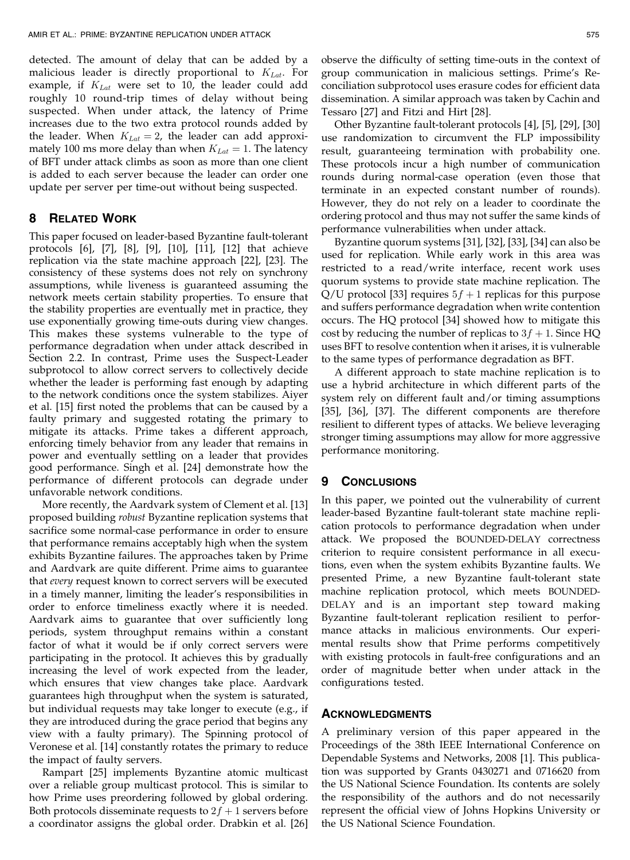detected. The amount of delay that can be added by a malicious leader is directly proportional to  $K_{Lat}$ . For example, if  $K_{Lat}$  were set to 10, the leader could add roughly 10 round-trip times of delay without being suspected. When under attack, the latency of Prime increases due to the two extra protocol rounds added by the leader. When  $K_{Lat} = 2$ , the leader can add approximately 100 ms more delay than when  $K_{Lat} = 1$ . The latency of BFT under attack climbs as soon as more than one client is added to each server because the leader can order one update per server per time-out without being suspected.

# 8 RELATED WORK

This paper focused on leader-based Byzantine fault-tolerant protocols [6], [7], [8], [9], [10], [11], [12] that achieve replication via the state machine approach [22], [23]. The consistency of these systems does not rely on synchrony assumptions, while liveness is guaranteed assuming the network meets certain stability properties. To ensure that the stability properties are eventually met in practice, they use exponentially growing time-outs during view changes. This makes these systems vulnerable to the type of performance degradation when under attack described in Section 2.2. In contrast, Prime uses the Suspect-Leader subprotocol to allow correct servers to collectively decide whether the leader is performing fast enough by adapting to the network conditions once the system stabilizes. Aiyer et al. [15] first noted the problems that can be caused by a faulty primary and suggested rotating the primary to mitigate its attacks. Prime takes a different approach, enforcing timely behavior from any leader that remains in power and eventually settling on a leader that provides good performance. Singh et al. [24] demonstrate how the performance of different protocols can degrade under unfavorable network conditions.

More recently, the Aardvark system of Clement et al. [13] proposed building robust Byzantine replication systems that sacrifice some normal-case performance in order to ensure that performance remains acceptably high when the system exhibits Byzantine failures. The approaches taken by Prime and Aardvark are quite different. Prime aims to guarantee that every request known to correct servers will be executed in a timely manner, limiting the leader's responsibilities in order to enforce timeliness exactly where it is needed. Aardvark aims to guarantee that over sufficiently long periods, system throughput remains within a constant factor of what it would be if only correct servers were participating in the protocol. It achieves this by gradually increasing the level of work expected from the leader, which ensures that view changes take place. Aardvark guarantees high throughput when the system is saturated, but individual requests may take longer to execute (e.g., if they are introduced during the grace period that begins any view with a faulty primary). The Spinning protocol of Veronese et al. [14] constantly rotates the primary to reduce the impact of faulty servers.

Rampart [25] implements Byzantine atomic multicast over a reliable group multicast protocol. This is similar to how Prime uses preordering followed by global ordering. Both protocols disseminate requests to  $2f + 1$  servers before a coordinator assigns the global order. Drabkin et al. [26] observe the difficulty of setting time-outs in the context of group communication in malicious settings. Prime's Reconciliation subprotocol uses erasure codes for efficient data dissemination. A similar approach was taken by Cachin and Tessaro [27] and Fitzi and Hirt [28].

Other Byzantine fault-tolerant protocols [4], [5], [29], [30] use randomization to circumvent the FLP impossibility result, guaranteeing termination with probability one. These protocols incur a high number of communication rounds during normal-case operation (even those that terminate in an expected constant number of rounds). However, they do not rely on a leader to coordinate the ordering protocol and thus may not suffer the same kinds of performance vulnerabilities when under attack.

Byzantine quorum systems [31], [32], [33], [34] can also be used for replication. While early work in this area was restricted to a read/write interface, recent work uses quorum systems to provide state machine replication. The  $Q/U$  protocol [33] requires  $5f + 1$  replicas for this purpose and suffers performance degradation when write contention occurs. The HQ protocol [34] showed how to mitigate this cost by reducing the number of replicas to  $3f + 1$ . Since HQ uses BFT to resolve contention when it arises, it is vulnerable to the same types of performance degradation as BFT.

A different approach to state machine replication is to use a hybrid architecture in which different parts of the system rely on different fault and/or timing assumptions [35], [36], [37]. The different components are therefore resilient to different types of attacks. We believe leveraging stronger timing assumptions may allow for more aggressive performance monitoring.

# 9 CONCLUSIONS

In this paper, we pointed out the vulnerability of current leader-based Byzantine fault-tolerant state machine replication protocols to performance degradation when under attack. We proposed the BOUNDED-DELAY correctness criterion to require consistent performance in all executions, even when the system exhibits Byzantine faults. We presented Prime, a new Byzantine fault-tolerant state machine replication protocol, which meets BOUNDED-DELAY and is an important step toward making Byzantine fault-tolerant replication resilient to performance attacks in malicious environments. Our experimental results show that Prime performs competitively with existing protocols in fault-free configurations and an order of magnitude better when under attack in the configurations tested.

## ACKNOWLEDGMENTS

A preliminary version of this paper appeared in the Proceedings of the 38th IEEE International Conference on Dependable Systems and Networks, 2008 [1]. This publication was supported by Grants 0430271 and 0716620 from the US National Science Foundation. Its contents are solely the responsibility of the authors and do not necessarily represent the official view of Johns Hopkins University or the US National Science Foundation.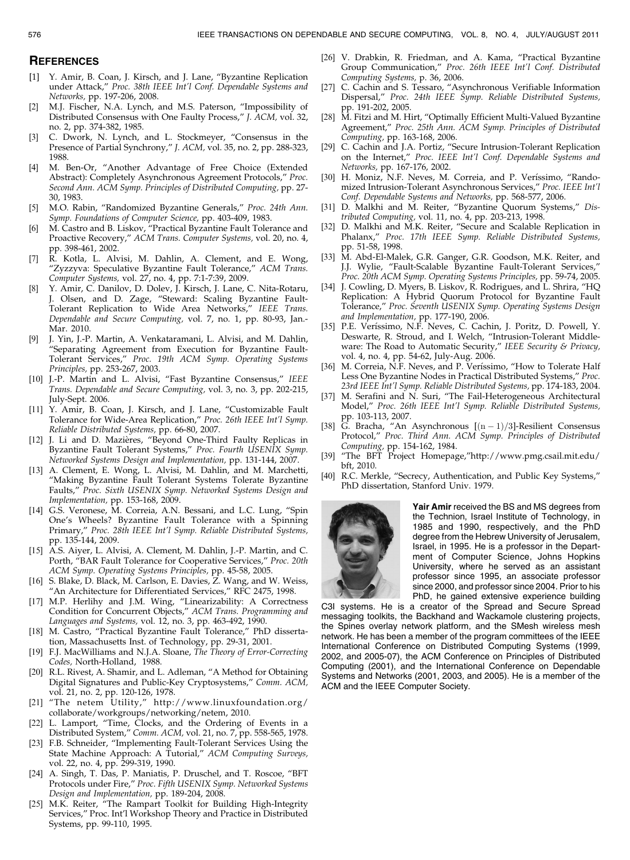# **REFERENCES**

- [1] Y. Amir, B. Coan, J. Kirsch, and J. Lane, "Byzantine Replication under Attack," Proc. 38th IEEE Int'l Conf. Dependable Systems and Networks, pp. 197-206, 2008.
- [2] M.J. Fischer, N.A. Lynch, and M.S. Paterson, "Impossibility of Distributed Consensus with One Faulty Process," J. ACM, vol. 32, no. 2, pp. 374-382, 1985.
- [3] C. Dwork, N. Lynch, and L. Stockmeyer, "Consensus in the Presence of Partial Synchrony," J. ACM, vol. 35, no. 2, pp. 288-323, 1988.
- [4] M. Ben-Or, "Another Advantage of Free Choice (Extended Abstract): Completely Asynchronous Agreement Protocols," Proc. Second Ann. ACM Symp. Principles of Distributed Computing, pp. 27- 30, 1983.
- [5] M.O. Rabin, "Randomized Byzantine Generals," Proc. 24th Ann. Symp. Foundations of Computer Science, pp. 403-409, 1983.
- [6] M. Castro and B. Liskov, "Practical Byzantine Fault Tolerance and Proactive Recovery," ACM Trans. Computer Systems, vol. 20, no. 4, pp. 398-461, 2002.
- [7] R. Kotla, L. Alvisi, M. Dahlin, A. Clement, and E. Wong, "Zyzzyva: Speculative Byzantine Fault Tolerance," ACM Trans. Computer Systems, vol. 27, no. 4, pp. 7:1-7:39, 2009.
- [8] Y. Amir, C. Danilov, D. Dolev, J. Kirsch, J. Lane, C. Nita-Rotaru, J. Olsen, and D. Zage, "Steward: Scaling Byzantine Fault-Tolerant Replication to Wide Area Networks," IEEE Trans. Dependable and Secure Computing, vol. 7, no. 1, pp. 80-93, Jan.- Mar. 2010.
- [9] J. Yin, J.-P. Martin, A. Venkataramani, L. Alvisi, and M. Dahlin, "Separating Agreement from Execution for Byzantine Fault-Tolerant Services," Proc. 19th ACM Symp. Operating Systems Principles, pp. 253-267, 2003.
- [10] J.-P. Martin and L. Alvisi, "Fast Byzantine Consensus," IEEE Trans. Dependable and Secure Computing, vol. 3, no. 3, pp. 202-215, July-Sept. 2006.
- [11] Y. Amir, B. Coan, J. Kirsch, and J. Lane, "Customizable Fault Tolerance for Wide-Area Replication," Proc. 26th IEEE Int'l Symp. Reliable Distributed Systems, pp. 66-80, 2007.
- [12] J. Li and D. Mazières, "Beyond One-Third Faulty Replicas in Byzantine Fault Tolerant Systems," Proc. Fourth USENIX Symp. Networked Systems Design and Implementation, pp. 131-144, 2007.
- [13] A. Clement, E. Wong, L. Alvisi, M. Dahlin, and M. Marchetti, "Making Byzantine Fault Tolerant Systems Tolerate Byzantine Faults," Proc. Sixth USENIX Symp. Networked Systems Design and Implementation, pp. 153-168, 2009.
- [14] G.S. Veronese, M. Correia, A.N. Bessani, and L.C. Lung, "Spin One's Wheels? Byzantine Fault Tolerance with a Spinning Primary," Proc. 28th IEEE Int'l Symp. Reliable Distributed Systems, pp. 135-144, 2009.
- [15] A.S. Aiyer, L. Alvisi, A. Clement, M. Dahlin, J.-P. Martin, and C. Porth, "BAR Fault Tolerance for Cooperative Services," Proc. 20th ACM Symp. Operating Systems Principles, pp. 45-58, 2005.
- [16] S. Blake, D. Black, M. Carlson, E. Davies, Z. Wang, and W. Weiss, "An Architecture for Differentiated Services," RFC 2475, 1998.
- [17] M.P. Herlihy and J.M. Wing, "Linearizability: A Correctness Condition for Concurrent Objects," ACM Trans. Programming and Languages and Systems, vol. 12, no. 3, pp. 463-492, 1990.
- [18] M. Castro, "Practical Byzantine Fault Tolerance," PhD dissertation, Massachusetts Inst. of Technology, pp. 29-31, 2001.
- [19] F.J. MacWilliams and N.J.A. Sloane, The Theory of Error-Correcting Codes, North-Holland, 1988.
- [20] R.L. Rivest, A. Shamir, and L. Adleman, "A Method for Obtaining Digital Signatures and Public-Key Cryptosystems," Comm. ACM, vol. 21, no. 2, pp. 120-126, 1978.
- [21] "The netem Utility," http://www.linuxfoundation.org/ collaborate/workgroups/networking/netem, 2010.
- [22] L. Lamport, "Time, Clocks, and the Ordering of Events in a Distributed System," Comm. ACM, vol. 21, no. 7, pp. 558-565, 1978.
- [23] F.B. Schneider, "Implementing Fault-Tolerant Services Using the State Machine Approach: A Tutorial," ACM Computing Surveys, vol. 22, no. 4, pp. 299-319, 1990.
- [24] A. Singh, T. Das, P. Maniatis, P. Druschel, and T. Roscoe, "BFT Protocols under Fire," Proc. Fifth USENIX Symp. Networked Systems Design and Implementation, pp. 189-204, 2008.
- [25] M.K. Reiter, "The Rampart Toolkit for Building High-Integrity Services," Proc. Int'l Workshop Theory and Practice in Distributed Systems, pp. 99-110, 1995.
- [26] V. Drabkin, R. Friedman, and A. Kama, "Practical Byzantine Group Communication," Proc. 26th IEEE Int'l Conf. Distributed Computing Systems, p. 36, 2006.
- [27] C. Cachin and S. Tessaro, "Asynchronous Verifiable Information Dispersal," Proc. 24th IEEE Symp. Reliable Distributed Systems, pp. 191-202, 2005.
- [28] M. Fitzi and M. Hirt, "Optimally Efficient Multi-Valued Byzantine Agreement," Proc. 25th Ann. ACM Symp. Principles of Distributed Computing, pp. 163-168, 2006.
- [29] C. Cachin and J.A. Portiz, "Secure Intrusion-Tolerant Replication on the Internet," Proc. IEEE Int'l Conf. Dependable Systems and Networks, pp. 167-176, 2002.
- [30] H. Moniz, N.F. Neves, M. Correia, and P. Veríssimo, "Randomized Intrusion-Tolerant Asynchronous Services," Proc. IEEE Int'l Conf. Dependable Systems and Networks, pp. 568-577, 2006.
- [31] D. Malkhi and M. Reiter, "Byzantine Quorum Systems," Distributed Computing, vol. 11, no. 4, pp. 203-213, 1998.
- [32] D. Malkhi and M.K. Reiter, "Secure and Scalable Replication in Phalanx," Proc. 17th IEEE Symp. Reliable Distributed Systems, pp. 51-58, 1998.
- [33] M. Abd-El-Malek, G.R. Ganger, G.R. Goodson, M.K. Reiter, and J.J. Wylie, "Fault-Scalable Byzantine Fault-Tolerant Services," Proc. 20th ACM Symp. Operating Systems Principles, pp. 59-74, 2005.
- [34] J. Cowling, D. Myers, B. Liskov, R. Rodrigues, and L. Shrira, "HQ Replication: A Hybrid Quorum Protocol for Byzantine Fault Tolerance," Proc. Seventh USENIX Symp. Operating Systems Design and Implementation, pp. 177-190, 2006.
- [35] P.E. Veríssimo, N.F. Neves, C. Cachin, J. Poritz, D. Powell, Y. Deswarte, R. Stroud, and I. Welch, "Intrusion-Tolerant Middleware: The Road to Automatic Security," IEEE Security & Privacy, vol. 4, no. 4, pp. 54-62, July-Aug. 2006.
- [36] M. Correia, N.F. Neves, and P. Veríssimo, "How to Tolerate Half Less One Byzantine Nodes in Practical Distributed Systems," Proc. 23rd IEEE Int'l Symp. Reliable Distributed Systems, pp. 174-183, 2004.
- [37] M. Serafini and N. Suri, "The Fail-Heterogeneous Architectural Model," Proc. 26th IEEE Int'l Symp. Reliable Distributed Systems, pp. 103-113, 2007.
- [38] G. Bracha, "An Asynchronous  $[(n-1)/3]$ -Resilient Consensus Protocol," Proc. Third Ann. ACM Symp. Principles of Distributed Computing, pp. 154-162, 1984.
- [39] "The BFT Project Homepage,"http://www.pmg.csail.mit.edu/ bft, 2010.
- [40] R.C. Merkle, "Secrecy, Authentication, and Public Key Systems," PhD dissertation, Stanford Univ. 1979.



Yair Amir received the BS and MS degrees from the Technion, Israel Institute of Technology, in 1985 and 1990, respectively, and the PhD degree from the Hebrew University of Jerusalem, Israel, in 1995. He is a professor in the Department of Computer Science, Johns Hopkins University, where he served as an assistant professor since 1995, an associate professor since 2000, and professor since 2004. Prior to his PhD, he gained extensive experience building

C3I systems. He is a creator of the Spread and Secure Spread messaging toolkits, the Backhand and Wackamole clustering projects, the Spines overlay network platform, and the SMesh wireless mesh network. He has been a member of the program committees of the IEEE International Conference on Distributed Computing Systems (1999, 2002, and 2005-07), the ACM Conference on Principles of Distributed Computing (2001), and the International Conference on Dependable Systems and Networks (2001, 2003, and 2005). He is a member of the ACM and the IEEE Computer Society.